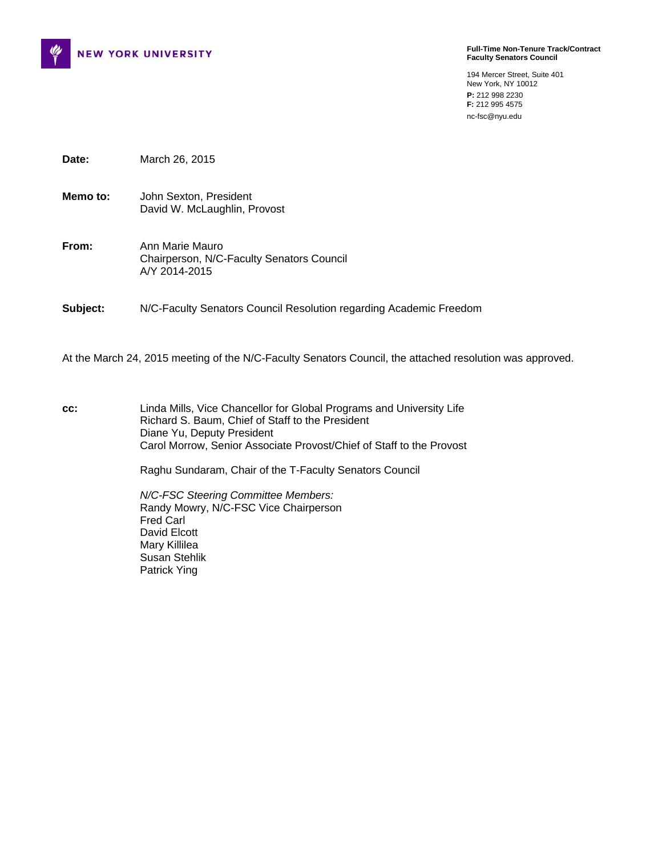

**Full-Time Non-Tenure Track/Contract Faculty Senators Council** 

194 Mercer Street, Suite 401 New York, NY 10012 **P:** 212 998 2230 **F:** 212 995 4575 nc-fsc@nyu.edu

**Date:** March 26, 2015

- **Memo to:** John Sexton, President David W. McLaughlin, Provost
- **From:** Ann Marie Mauro Chairperson, N/C-Faculty Senators Council A/Y 2014-2015

**Subject:** N/C-Faculty Senators Council Resolution regarding Academic Freedom

At the March 24, 2015 meeting of the N/C-Faculty Senators Council, the attached resolution was approved.

**cc:** Linda Mills, Vice Chancellor for Global Programs and University Life Richard S. Baum, Chief of Staff to the President Diane Yu, Deputy President Carol Morrow, Senior Associate Provost/Chief of Staff to the Provost

Raghu Sundaram, Chair of the T-Faculty Senators Council

*N/C-FSC Steering Committee Members:*  Randy Mowry, N/C-FSC Vice Chairperson Fred Carl David Elcott Mary Killilea Susan Stehlik Patrick Ying